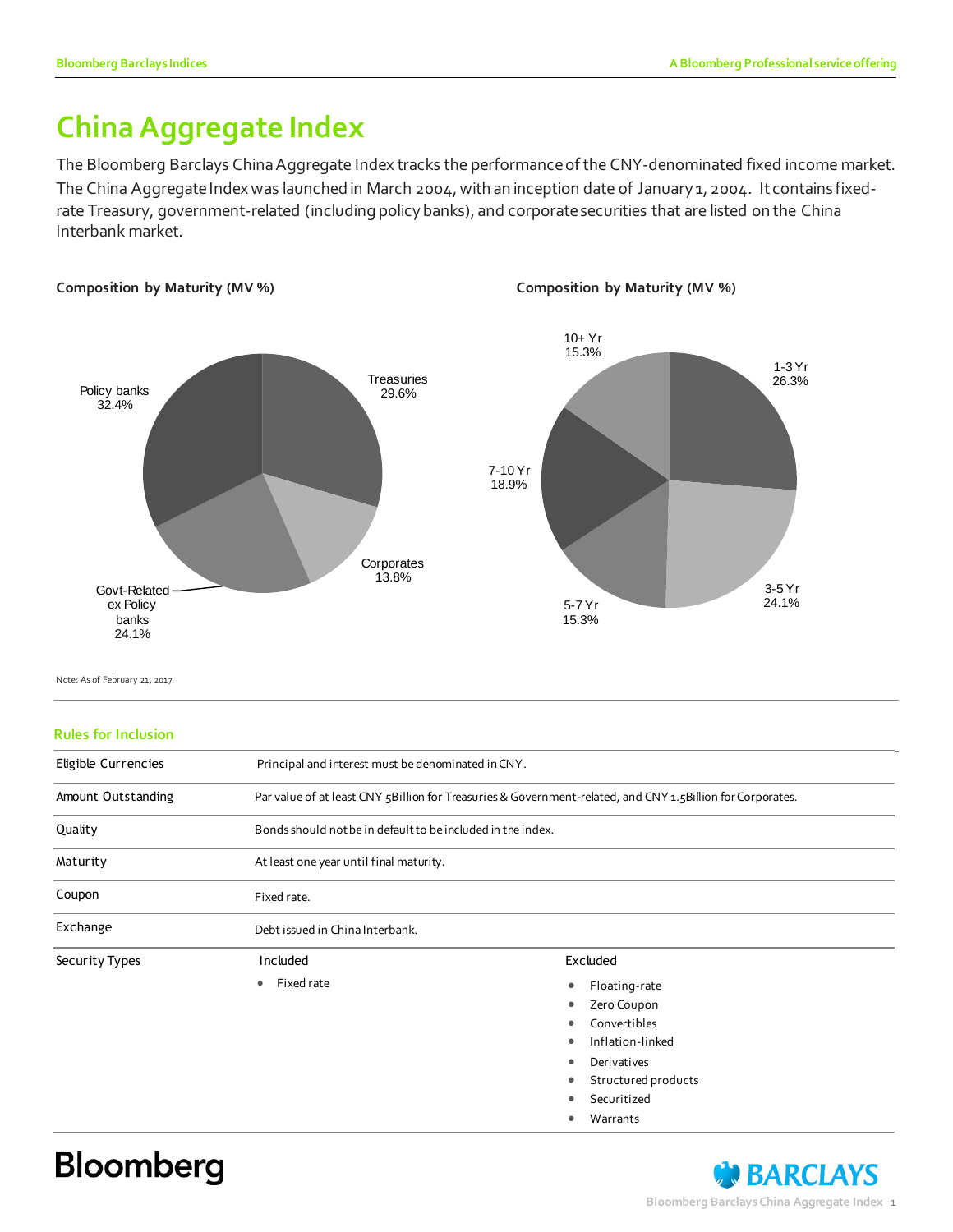### **China Aggregate Index**

The Bloomberg Barclays China Aggregate Index tracks the performance of the CNY-denominated fixed income market. The China Aggregate Index was launched in March 2004, with an inception date of January 1, 2004. It contains fixedrate Treasury, government-related (including policy banks), and corporate securities that are listed on the China Interbank market.



Note: As of February 21, 2017.

#### **Rules for Inclusion**

| Principal and interest must be denominated in CNY.                                                         |                                                                                                                       |  |  |  |  |
|------------------------------------------------------------------------------------------------------------|-----------------------------------------------------------------------------------------------------------------------|--|--|--|--|
| Par value of at least CNY 5Billion for Treasuries & Government-related, and CNY 1.5Billion for Corporates. |                                                                                                                       |  |  |  |  |
| Bonds should not be in default to be included in the index.                                                |                                                                                                                       |  |  |  |  |
| At least one year until final maturity.                                                                    |                                                                                                                       |  |  |  |  |
| Fixed rate.                                                                                                |                                                                                                                       |  |  |  |  |
| Debt issued in China Interbank.                                                                            |                                                                                                                       |  |  |  |  |
| Included                                                                                                   | Excluded                                                                                                              |  |  |  |  |
| Fixed rate<br>$\bullet$                                                                                    | Floating-rate<br>Zero Coupon<br>Convertibles<br>Inflation-linked<br>Derivatives<br>Structured products<br>Securitized |  |  |  |  |
|                                                                                                            |                                                                                                                       |  |  |  |  |

Warrants

# **Bloomberg**

### **BARCLAYS Bloomberg Barclays China Aggregate Index** 1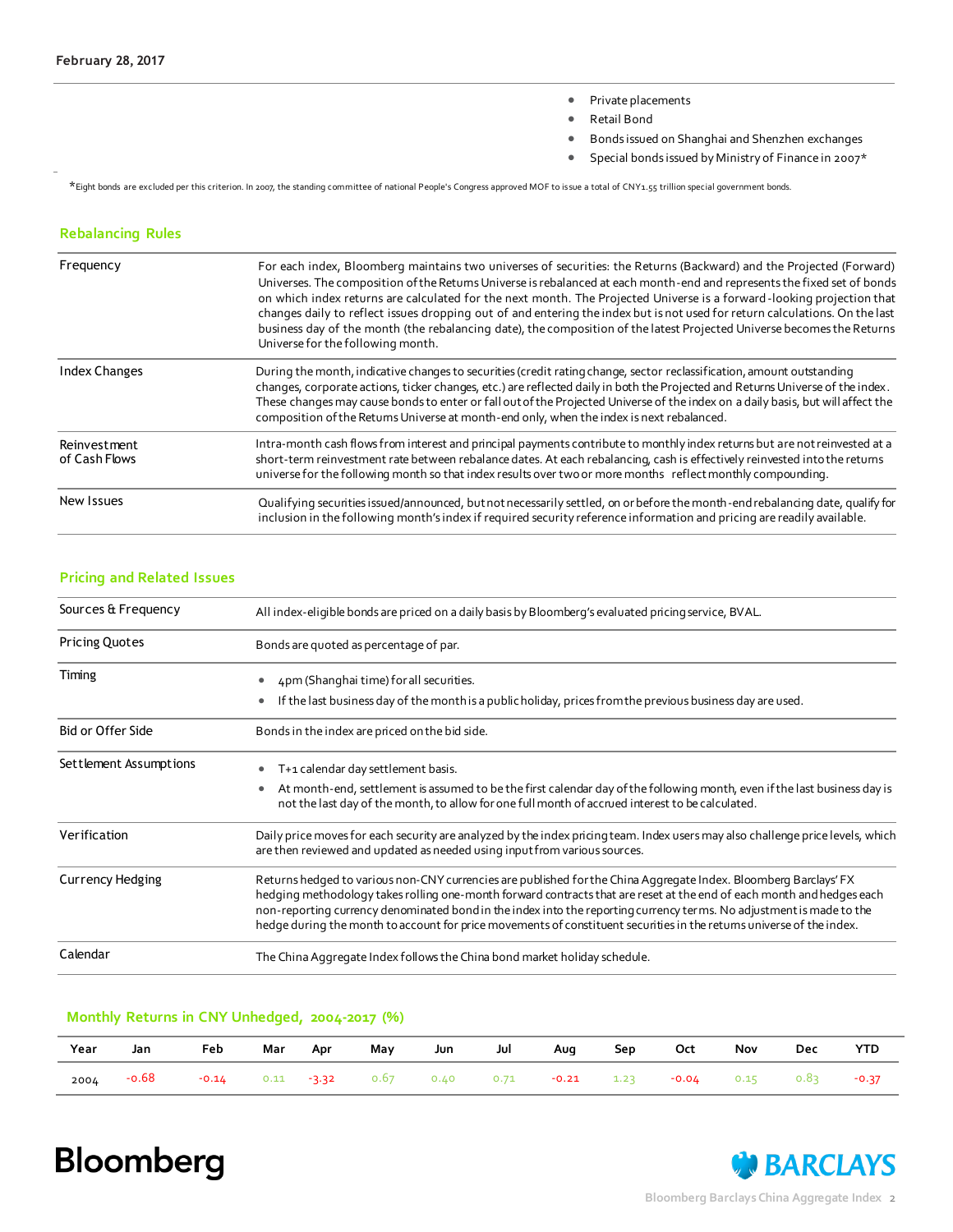- Private placements
- Retail Bond
- Bonds issued on Shanghai and Shenzhen exchanges
- Special bonds issued by Ministry of Finance in 2007\*

\*Eight bonds are excluded per this criterion. In 2007, the standing committee of national People's Congress approved MOF to is sue a total of CNY1.55 trillion special government bonds.

#### **Rebalancing Rules**

| Frequency                     | For each index, Bloomberg maintains two universes of securities: the Returns (Backward) and the Projected (Forward)<br>Universes. The composition of the Retums Universe is rebalanced at each month-end and represents the fixed set of bonds<br>on which index returns are calculated for the next month. The Projected Universe is a forward-looking projection that<br>changes daily to reflect issues dropping out of and entering the index but is not used for return calculations. On the last<br>business day of the month (the rebalancing date), the composition of the latest Projected Universe becomes the Returns<br>Universe for the following month. |
|-------------------------------|-----------------------------------------------------------------------------------------------------------------------------------------------------------------------------------------------------------------------------------------------------------------------------------------------------------------------------------------------------------------------------------------------------------------------------------------------------------------------------------------------------------------------------------------------------------------------------------------------------------------------------------------------------------------------|
| <b>Index Changes</b>          | During the month, indicative changes to securities (credit rating change, sector reclassification, amount outstanding<br>changes, corporate actions, ticker changes, etc.) are reflected daily in both the Projected and Returns Universe of the index.<br>These changes may cause bonds to enter or fall out of the Projected Universe of the index on a daily basis, but will affect the<br>composition of the Retums Universe at month-end only, when the index is next rebalanced.                                                                                                                                                                                |
| Reinvestment<br>of Cash Flows | Intra-month cash flows from interest and principal payments contribute to monthly index returns but are not reinvested at a<br>short-term reinvestment rate between rebalance dates. At each rebalancing, cash is effectively reinvested into the retums<br>universe for the following month so that index results over two or more months reflect monthly compounding.                                                                                                                                                                                                                                                                                               |
| New Issues                    | Qualifying securities issued/announced, but not necessarily settled, on or before the month-end rebalancing date, qualify for<br>inclusion in the following month's index if required security reference information and pricing are readily available.                                                                                                                                                                                                                                                                                                                                                                                                               |

#### **Pricing and Related Issues**

| Sources & Frequency      | All index-eligible bonds are priced on a daily basis by Bloomberg's evaluated pricing service, BVAL.                                                                                                                                                                                                                                                                                                                                                                                      |
|--------------------------|-------------------------------------------------------------------------------------------------------------------------------------------------------------------------------------------------------------------------------------------------------------------------------------------------------------------------------------------------------------------------------------------------------------------------------------------------------------------------------------------|
| <b>Pricing Quotes</b>    | Bonds are quoted as percentage of par.                                                                                                                                                                                                                                                                                                                                                                                                                                                    |
| Timing                   | 4pm (Shanghai time) for all securities.<br>If the last business day of the month is a public holiday, prices from the previous business day are used.                                                                                                                                                                                                                                                                                                                                     |
| <b>Bid or Offer Side</b> | Bonds in the index are priced on the bid side.                                                                                                                                                                                                                                                                                                                                                                                                                                            |
| Settlement Assumptions   | T+1 calendar day settlement basis.<br>At month-end, settlement is assumed to be the first calendar day of the following month, even if the last business day is<br>not the last day of the month, to allow for one full month of accrued interest to be calculated.                                                                                                                                                                                                                       |
| Verification             | Daily price moves for each security are analyzed by the index pricing team. Index users may also challenge price levels, which<br>are then reviewed and updated as needed using input from various sources.                                                                                                                                                                                                                                                                               |
| <b>Currency Hedging</b>  | Returns hedged to various non-CNY currencies are published for the China Aggregate Index. Bloomberg Barclays' FX<br>hedging methodology takes rolling one-month forward contracts that are reset at the end of each month and hedges each<br>non-reporting currency denominated bond in the index into the reporting currency terms. No adjustment is made to the<br>hedge during the month to account for price movements of constituent securities in the retums universe of the index. |
| Calendar                 | The China Aggregate Index follows the China bond market holiday schedule.                                                                                                                                                                                                                                                                                                                                                                                                                 |

#### **Monthly Returns in CNY Unhedged, 2004-2017 (%)**

| Year | Jan   | Feb                                                                                      | Mar | Apr | May | Jun Jul | <b>Aug</b> | . Sep | Oct | Nov | Dec | <b>YTD</b> |
|------|-------|------------------------------------------------------------------------------------------|-----|-----|-----|---------|------------|-------|-----|-----|-----|------------|
| 2004 | -0.68 | $-0.14$ $0.11$ $-3.32$ $0.67$ $0.40$ $0.71$ $-0.21$ $1.23$ $-0.04$ $0.15$ $0.83$ $-0.37$ |     |     |     |         |            |       |     |     |     |            |

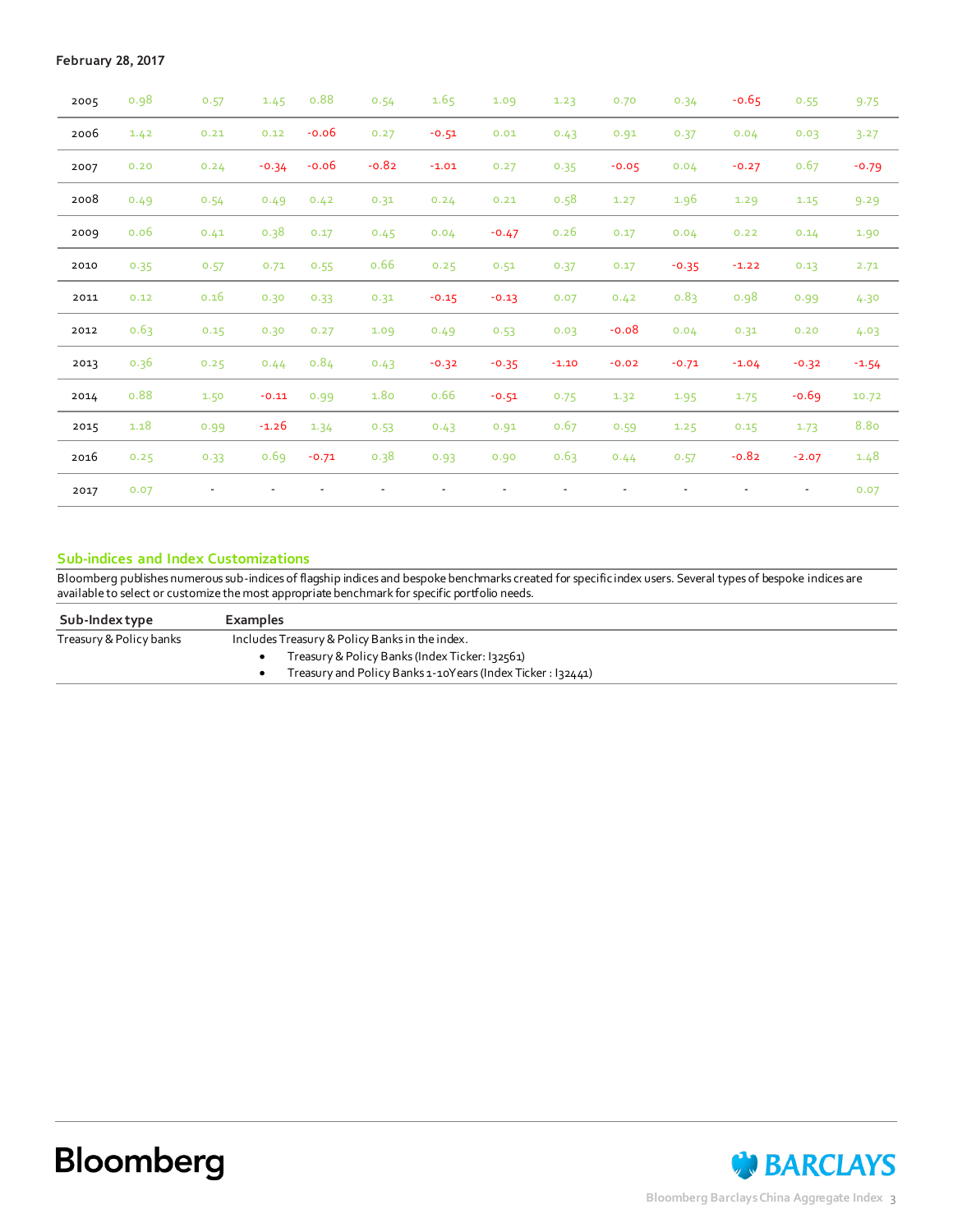| 2005 | 0.98 | 0.57 | 1.45    | 0.88    | 0.54    | 1.65    | 1.09    | 1.23    | 0.70    | 0.34    | $-0.65$                  | 0.55                     | 9.75    |
|------|------|------|---------|---------|---------|---------|---------|---------|---------|---------|--------------------------|--------------------------|---------|
| 2006 | 1.42 | 0.21 | 0.12    | $-0.06$ | 0.27    | $-0.51$ | 0.01    | 0.43    | 0.91    | 0.37    | 0.04                     | 0.03                     | 3.27    |
| 2007 | 0.20 | 0.24 | $-0.34$ | $-0.06$ | $-0.82$ | $-1.01$ | 0.27    | 0.35    | $-0.05$ | 0.04    | $-0.27$                  | 0.67                     | $-0.79$ |
| 2008 | 0.49 | 0.54 | 0.49    | 0.42    | 0.31    | 0.24    | 0.21    | 0.58    | 1.27    | 1.96    | 1.29                     | 1.15                     | 9.29    |
| 2009 | 0.06 | 0.41 | 0.38    | 0.17    | 0.45    | 0.04    | $-0.47$ | 0.26    | 0.17    | 0.04    | 0.22                     | 0.14                     | 1.90    |
| 2010 | 0.35 | 0.57 | 0.71    | 0.55    | 0.66    | 0.25    | 0.51    | 0.37    | 0.17    | $-0.35$ | $-1.22$                  | 0.13                     | 2.71    |
| 2011 | 0.12 | 0.16 | 0.30    | 0.33    | 0.31    | $-0.15$ | $-0.13$ | 0.07    | 0.42    | 0.83    | 0.98                     | 0.99                     | 4.30    |
| 2012 | 0.63 | 0.15 | 0.30    | 0.27    | 1.09    | 0.49    | 0.53    | 0.03    | $-0.08$ | 0.04    | 0.31                     | 0.20                     | 4.03    |
| 2013 | 0.36 | 0.25 | 0.44    | 0.84    | 0.43    | $-0.32$ | $-0.35$ | $-1.10$ | $-0.02$ | $-0.71$ | $-1.04$                  | $-0.32$                  | $-1.54$ |
| 2014 | 0.88 | 1.50 | $-0.11$ | 0.99    | 1.80    | 0.66    | $-0.51$ | 0.75    | 1.32    | 1.95    | 1.75                     | $-0.69$                  | 10.72   |
| 2015 | 1.18 | 0.99 | $-1.26$ | 1.34    | 0.53    | 0.43    | 0.91    | 0.67    | 0.59    | 1.25    | 0.15                     | 1.73                     | 8.80    |
| 2016 | 0.25 | 0.33 | 0.69    | $-0.71$ | 0.38    | 0.93    | 0.90    | 0.63    | 0.44    | 0.57    | $-0.82$                  | $-2.07$                  | 1.48    |
| 2017 | 0.07 |      |         |         |         |         |         |         |         |         | $\overline{\phantom{a}}$ | $\overline{\phantom{a}}$ | 0.07    |

#### **Sub-indices and Index Customizations**

Bloomberg publishes numerous sub-indices of flagship indices and bespoke benchmarks created for specific index users. Several types of bespoke indices are available to select or customize the most appropriate benchmark for specific portfolio needs.

| Sub-Indextype           | <b>Examples</b>                                            |
|-------------------------|------------------------------------------------------------|
| Treasury & Policy banks | Includes Treasury & Policy Banks in the index.             |
|                         | Treasury & Policy Banks (Index Ticker: 132561)             |
|                         | Treasury and Policy Banks 1-10Years (Index Ticker: 132441) |
|                         |                                                            |

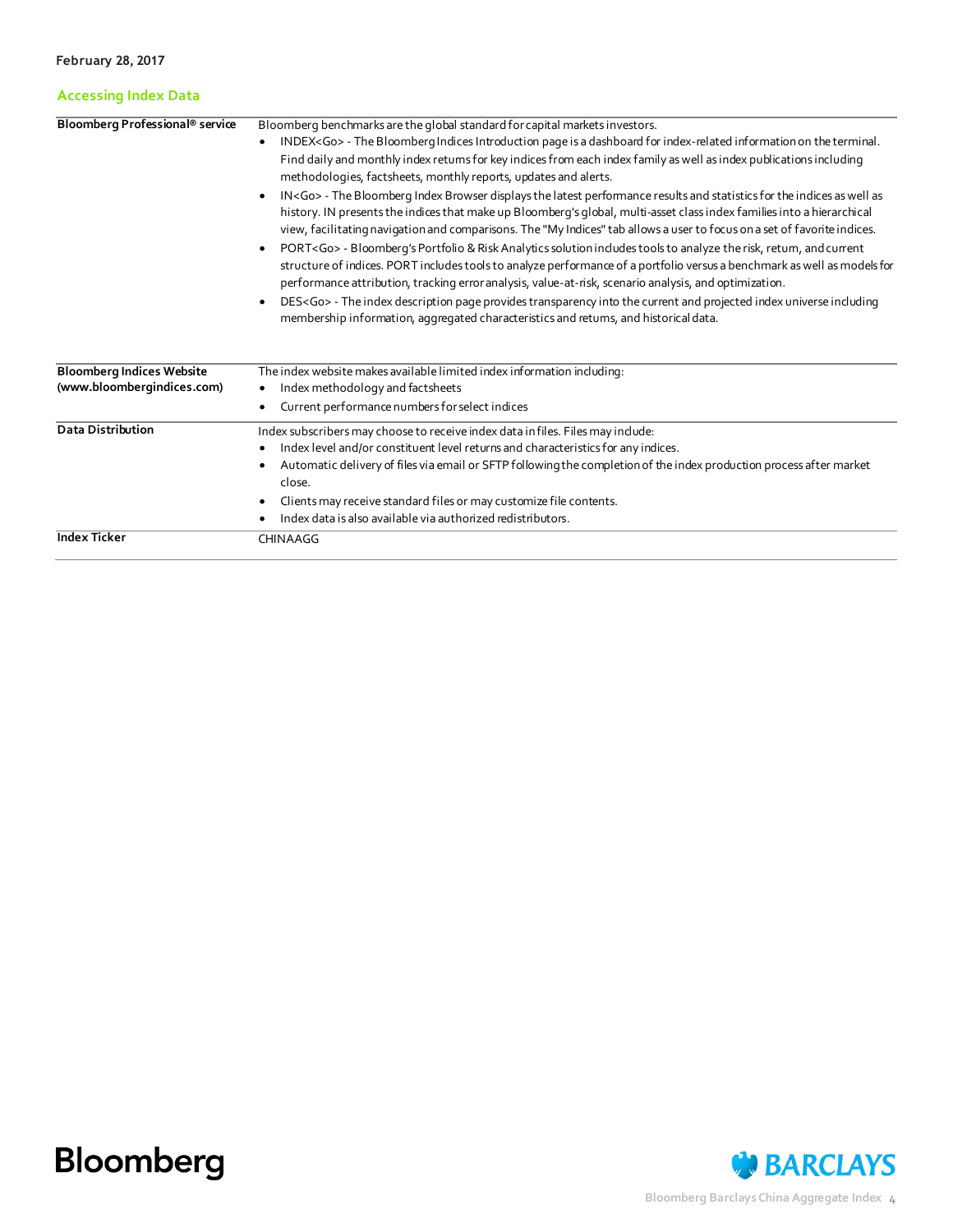#### **Accessing Index Data**

| Bloomberg Professional <sup>®</sup> service                    | Bloomberg benchmarks are the global standard for capital markets investors.<br>INDEX <go> - The Bloomberg Indices Introduction page is a dashboard for index-related information on the terminal.<br/>Find daily and monthly index retums for key indices from each index family as well as index publications including<br/>methodologies, factsheets, monthly reports, updates and alerts.<br/>IN<go> - The Bloomberg Index Browser displays the latest performance results and statistics for the indices as well as<br/>٠<br/>history. IN presents the indices that make up Bloomberg's global, multi-asset class index families into a hierarchical<br/>view, facilitating navigation and comparisons. The "My Indices" tab allows a user to focus on a set of favorite indices.<br/>PORT<go> - Bloomberg's Portfolio &amp; Risk Analytics solution includes tools to analyze the risk, retum, and current<br/>structure of indices. PORT includes tools to analyze performance of a portfolio versus a benchmark as well as models for<br/>performance attribution, tracking error analysis, value-at-risk, scenario analysis, and optimization.<br/>DES<go> - The index description page provides transparency into the current and projected index universe induding<br/>membership information, aggregated characteristics and retums, and historical data.</go></go></go></go> |
|----------------------------------------------------------------|------------------------------------------------------------------------------------------------------------------------------------------------------------------------------------------------------------------------------------------------------------------------------------------------------------------------------------------------------------------------------------------------------------------------------------------------------------------------------------------------------------------------------------------------------------------------------------------------------------------------------------------------------------------------------------------------------------------------------------------------------------------------------------------------------------------------------------------------------------------------------------------------------------------------------------------------------------------------------------------------------------------------------------------------------------------------------------------------------------------------------------------------------------------------------------------------------------------------------------------------------------------------------------------------------------------------------------------------------------------------------------------|
| <b>Bloomberg Indices Website</b><br>(www.bloombergindices.com) | The index website makes available limited index information including:<br>Index methodology and factsheets<br>Current performance numbers for select indices                                                                                                                                                                                                                                                                                                                                                                                                                                                                                                                                                                                                                                                                                                                                                                                                                                                                                                                                                                                                                                                                                                                                                                                                                             |
| <b>Data Distribution</b>                                       | Index subscribers may choose to receive index data in files. Files may include:<br>Index level and/or constituent level returns and characteristics for any indices.<br>Automatic delivery of files via email or SFTP following the completion of the index production process after market<br>close.<br>Clients may receive standard files or may customize file contents.<br>Index data is also available via authorized redistributors.                                                                                                                                                                                                                                                                                                                                                                                                                                                                                                                                                                                                                                                                                                                                                                                                                                                                                                                                               |
| <b>Index Ticker</b>                                            | CHINAAGG                                                                                                                                                                                                                                                                                                                                                                                                                                                                                                                                                                                                                                                                                                                                                                                                                                                                                                                                                                                                                                                                                                                                                                                                                                                                                                                                                                                 |



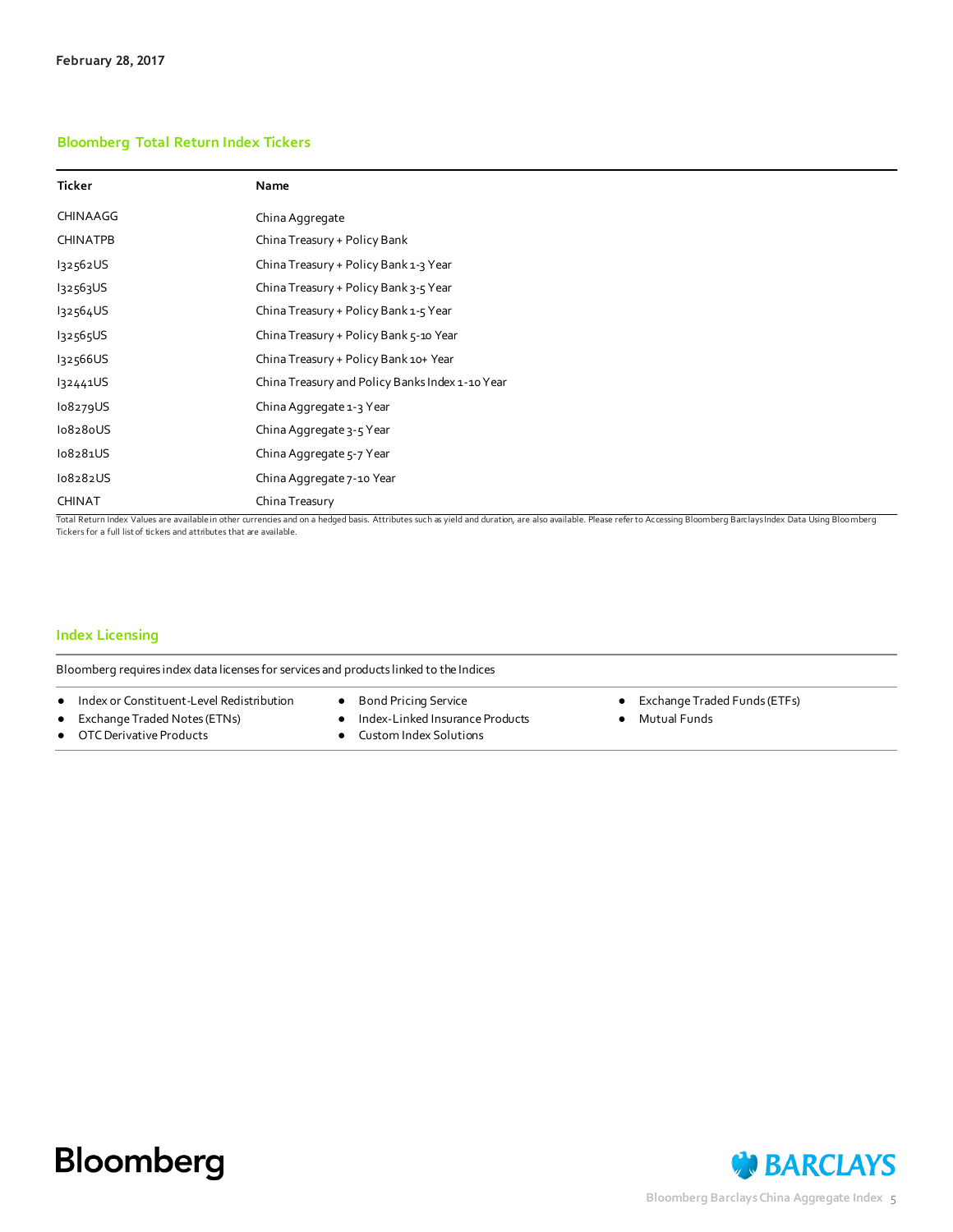#### **Bloomberg Total Return Index Tickers**

| Ticker          | Name                                            |
|-----------------|-------------------------------------------------|
| CHINAAGG        | China Aggregate                                 |
| <b>CHINATPB</b> | China Treasury + Policy Bank                    |
| 132562US        | China Treasury + Policy Bank 1-3 Year           |
| 132563US        | China Treasury + Policy Bank 3-5 Year           |
| 132564US        | China Treasury + Policy Bank 1-5 Year           |
| 132565US        | China Treasury + Policy Bank 5-10 Year          |
| I32566US        | China Treasury + Policy Bank 10+ Year           |
| 132441US        | China Treasury and Policy Banks Index 1-10 Year |
| lo8279US        | China Aggregate 1-3 Year                        |
| lo828oUS        | China Aggregate 3-5 Year                        |
| lo8281US        | China Aggregate 5-7 Year                        |
| lo8282US        | China Aggregate 7-10 Year                       |
| <b>CHINAT</b>   | China Treasury                                  |

Tickers for a full list of tickers and attributes that are available.

#### **Index Licensing**

Bloomberg requires index data licenses for services and products linked to the Indices

- Index or Constituent-Level Redistribution
- Exchange Traded Notes (ETNs)
- OTC Derivative Products
- Bond Pricing Service
- Index-Linked Insurance Products
- Custom Index Solutions
- Exchange Traded Funds (ETFs)
- Mutual Funds

## **Bloomberg**